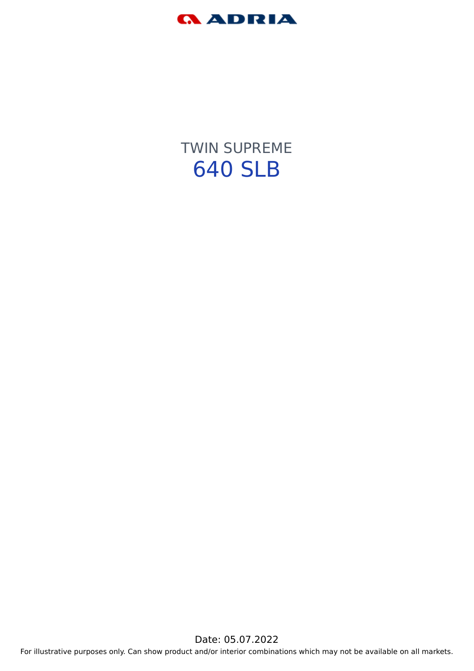

TWIN SUPREME 640 SLB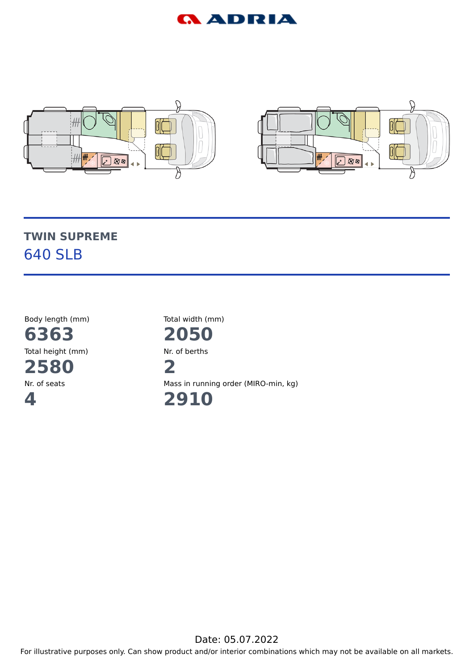



# **TWIN SUPREME** 640 SLB

Body length (mm) **6363** Total height (mm) **2580** Nr. of seats **4**

Total width (mm)

**2050** Nr. of berths **2**

Mass in running order (MIRO-min, kg)

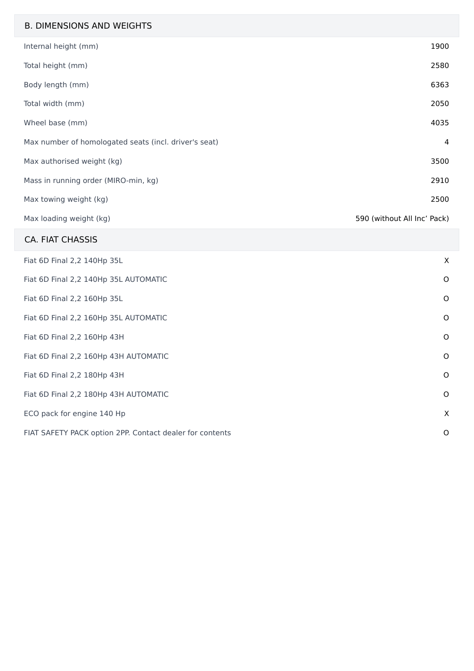#### B. DIMENSIONS AND WEIGHTS

| Internal height (mm)                                  | 1900                        |
|-------------------------------------------------------|-----------------------------|
| Total height (mm)                                     | 2580                        |
| Body length (mm)                                      | 6363                        |
| Total width (mm)                                      | 2050                        |
| Wheel base (mm)                                       | 4035                        |
| Max number of homologated seats (incl. driver's seat) | 4                           |
| Max authorised weight (kg)                            | 3500                        |
| Mass in running order (MIRO-min, kg)                  | 2910                        |
| Max towing weight (kg)                                | 2500                        |
| Max loading weight (kg)                               | 590 (without All Inc' Pack) |

#### CA. FIAT CHASSIS

| Fiat 6D Final 2,2 140Hp 35L                              | $\times$ |
|----------------------------------------------------------|----------|
| Fiat 6D Final 2,2 140Hp 35L AUTOMATIC                    | $\circ$  |
| Fiat 6D Final 2,2 160Hp 35L                              | $\circ$  |
| Fiat 6D Final 2,2 160Hp 35L AUTOMATIC                    | O        |
| Fiat 6D Final 2,2 160Hp 43H                              | $\circ$  |
| Fiat 6D Final 2,2 160Hp 43H AUTOMATIC                    | $\circ$  |
| Fiat 6D Final 2,2 180Hp 43H                              | $\circ$  |
| Fiat 6D Final 2,2 180Hp 43H AUTOMATIC                    | $\circ$  |
| ECO pack for engine 140 Hp                               | $\times$ |
| FIAT SAFETY PACK option 2PP. Contact dealer for contents | $\circ$  |
|                                                          |          |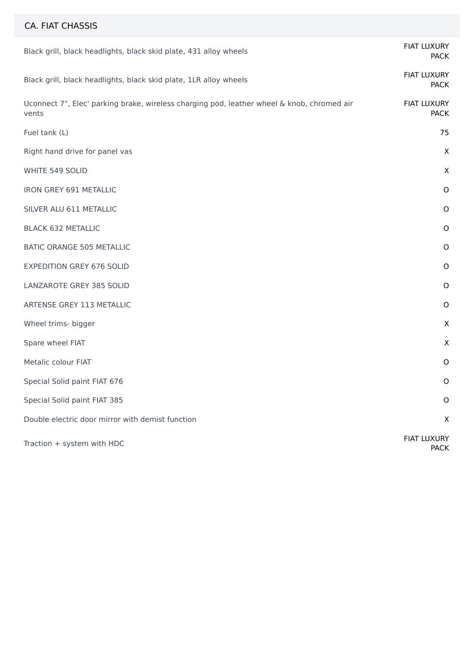| CA. FIAT CHASSIS                                                                                    |                                   |
|-----------------------------------------------------------------------------------------------------|-----------------------------------|
| Black grill, black headlights, black skid plate, 431 alloy wheels                                   | <b>FIAT LUXURY</b><br><b>PACK</b> |
| Black grill, black headlights, black skid plate, 1LR alloy wheels                                   | <b>FIAT LUXURY</b><br><b>PACK</b> |
| Uconnect 7", Elec' parking brake, wireless charging pod, leather wheel & knob, chromed air<br>vents | <b>FIAT LUXURY</b><br><b>PACK</b> |
| Fuel tank (L)                                                                                       | 75                                |
| Right hand drive for panel vas                                                                      | $\mathsf X$                       |
| WHITE 549 SOLID                                                                                     | $\mathsf X$                       |
| <b>IRON GREY 691 METALLIC</b>                                                                       | $\circ$                           |
| SILVER ALU 611 METALLIC                                                                             | $\mathsf O$                       |
| <b>BLACK 632 METALLIC</b>                                                                           | $\mathsf O$                       |
| <b>BATIC ORANGE 505 METALLIC</b>                                                                    | $\mathsf O$                       |
| <b>EXPEDITION GREY 676 SOLID</b>                                                                    | $\mathsf O$                       |
| LANZAROTE GREY 385 SOLID                                                                            | $\mathsf O$                       |
| ARTENSE GREY 113 METALLIC                                                                           | $\mathsf O$                       |
| Wheel trims- bigger                                                                                 | $\mathsf X$                       |
| Spare wheel FIAT                                                                                    | $\mathsf X$                       |
| Metalic colour FIAT                                                                                 | $\circ$                           |
| Special Solid paint FIAT 676                                                                        | $\mathsf O$                       |
| Special Solid paint FIAT 385                                                                        | $\mathsf O$                       |
| Double electric door mirror with demist function                                                    | X                                 |
| Traction + system with HDC                                                                          | <b>FIAT LUXURY</b><br><b>PACK</b> |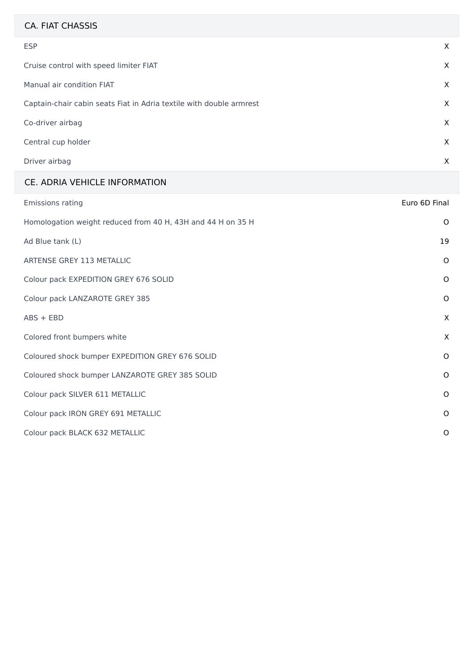| <b>CA. FIAT CHASSIS</b>                                             |          |
|---------------------------------------------------------------------|----------|
| <b>ESP</b>                                                          | X        |
| Cruise control with speed limiter FIAT                              | $\times$ |
| Manual air condition FIAT                                           | $\times$ |
| Captain-chair cabin seats Fiat in Adria textile with double armrest | $\times$ |
| Co-driver airbag                                                    | $\times$ |
| Central cup holder                                                  | $\times$ |
| Driver airbag                                                       | X        |

#### CE. ADRIA VEHICLE INFORMATION

| <b>Emissions rating</b>                                     | Euro 6D Final |
|-------------------------------------------------------------|---------------|
| Homologation weight reduced from 40 H, 43H and 44 H on 35 H | $\circ$       |
| Ad Blue tank (L)                                            | 19            |
| ARTENSE GREY 113 METALLIC                                   | $\circ$       |
| Colour pack EXPEDITION GREY 676 SOLID                       | $\circ$       |
| Colour pack LANZAROTE GREY 385                              | $\circ$       |
| $ABS + EBD$                                                 | X             |
| Colored front bumpers white                                 | $\times$      |
| Coloured shock bumper EXPEDITION GREY 676 SOLID             | $\circ$       |
| Coloured shock bumper LANZAROTE GREY 385 SOLID              | $\circ$       |
| Colour pack SILVER 611 METALLIC                             | $\circ$       |
| Colour pack IRON GREY 691 METALLIC                          | $\circ$       |
| Colour pack BLACK 632 METALLIC                              | O             |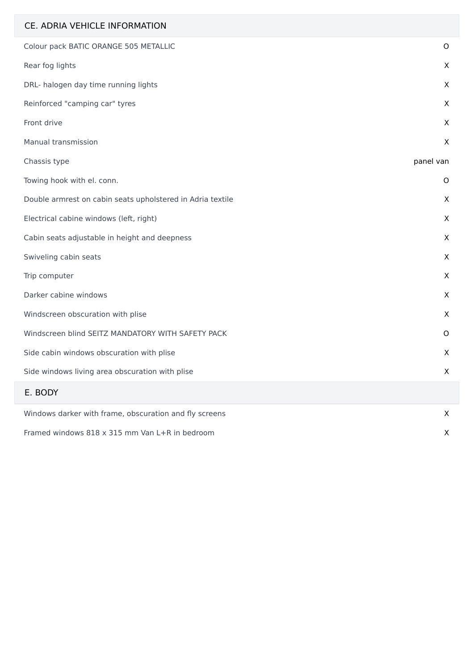| CE. ADRIA VEHICLE INFORMATION                              |           |
|------------------------------------------------------------|-----------|
| Colour pack BATIC ORANGE 505 METALLIC                      | $\circ$   |
| Rear fog lights                                            | X         |
| DRL- halogen day time running lights                       | X         |
| Reinforced "camping car" tyres                             | X         |
| Front drive                                                | X         |
| Manual transmission                                        | X         |
| Chassis type                                               | panel van |
| Towing hook with el. conn.                                 | O         |
| Double armrest on cabin seats upholstered in Adria textile | X         |
| Electrical cabine windows (left, right)                    | X         |
| Cabin seats adjustable in height and deepness              | X         |
| Swiveling cabin seats                                      | X         |
| Trip computer                                              | X         |
| Darker cabine windows                                      | X         |
| Windscreen obscuration with plise                          | X         |
| Windscreen blind SEITZ MANDATORY WITH SAFETY PACK          | 0         |
| Side cabin windows obscuration with plise                  | X         |
| Side windows living area obscuration with plise            | X.        |
| E. BODY                                                    |           |
| Windows darker with frame, obscuration and fly screens     | X         |
| Framed windows 818 x 315 mm Van L+R in bedroom             | X         |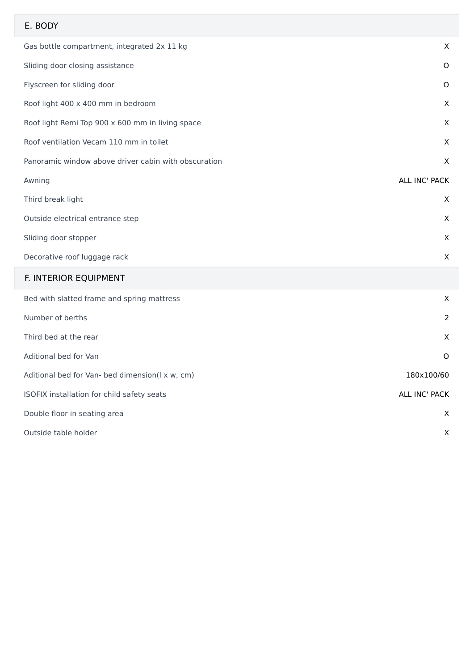### E. BODY

| Gas bottle compartment, integrated 2x 11 kg          | X             |
|------------------------------------------------------|---------------|
| Sliding door closing assistance                      | $\circ$       |
| Flyscreen for sliding door                           | $\circ$       |
| Roof light 400 x 400 mm in bedroom                   | X             |
| Roof light Remi Top 900 x 600 mm in living space     | $\times$      |
| Roof ventilation Vecam 110 mm in toilet              | $\times$      |
| Panoramic window above driver cabin with obscuration | X             |
| Awning                                               | ALL INC' PACK |
| Third break light                                    | X             |
| Outside electrical entrance step                     | X             |
| Sliding door stopper                                 | X             |
| Decorative roof luggage rack                         | X             |
|                                                      |               |

# F. INTERIOR EQUIPMENT

| Bed with slatted frame and spring mattress      | X             |
|-------------------------------------------------|---------------|
| Number of berths                                | 2             |
| Third bed at the rear                           | X             |
| Aditional bed for Van                           | $\circ$       |
| Aditional bed for Van- bed dimension(I x w, cm) | 180x100/60    |
| ISOFIX installation for child safety seats      | ALL INC' PACK |
| Double floor in seating area                    | X             |
| Outside table holder                            | X             |
|                                                 |               |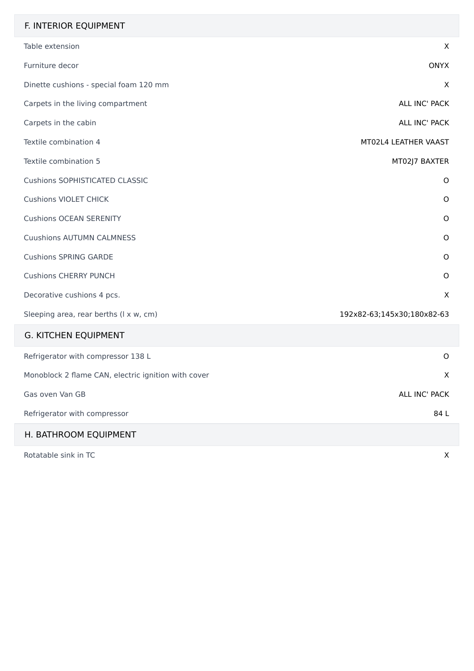## F. INTERIOR EQUIPMENT

| Table extension                                     | X                          |
|-----------------------------------------------------|----------------------------|
| Furniture decor                                     | <b>ONYX</b>                |
| Dinette cushions - special foam 120 mm              | $\sf X$                    |
| Carpets in the living compartment                   | ALL INC' PACK              |
| Carpets in the cabin                                | ALL INC' PACK              |
| Textile combination 4                               | MT02L4 LEATHER VAAST       |
| Textile combination 5                               | MT02J7 BAXTER              |
| <b>Cushions SOPHISTICATED CLASSIC</b>               | $\mathsf O$                |
| <b>Cushions VIOLET CHICK</b>                        | $\mathsf O$                |
| <b>Cushions OCEAN SERENITY</b>                      | $\mathsf O$                |
| <b>Cuushions AUTUMN CALMNESS</b>                    | $\mathsf O$                |
| <b>Cushions SPRING GARDE</b>                        | $\mathsf O$                |
| <b>Cushions CHERRY PUNCH</b>                        | $\mathsf{O}$               |
| Decorative cushions 4 pcs.                          | $\sf X$                    |
| Sleeping area, rear berths (I x w, cm)              | 192x82-63;145x30;180x82-63 |
| <b>G. KITCHEN EQUIPMENT</b>                         |                            |
| Refrigerator with compressor 138 L                  | $\mathsf{O}$               |
| Monoblock 2 flame CAN, electric ignition with cover | X                          |
| Gas oven Van GB                                     | ALL INC' PACK              |
| Refrigerator with compressor                        | 84 L                       |
| H. BATHROOM EQUIPMENT                               |                            |
| Rotatable sink in TC                                | $\mathsf{X}$               |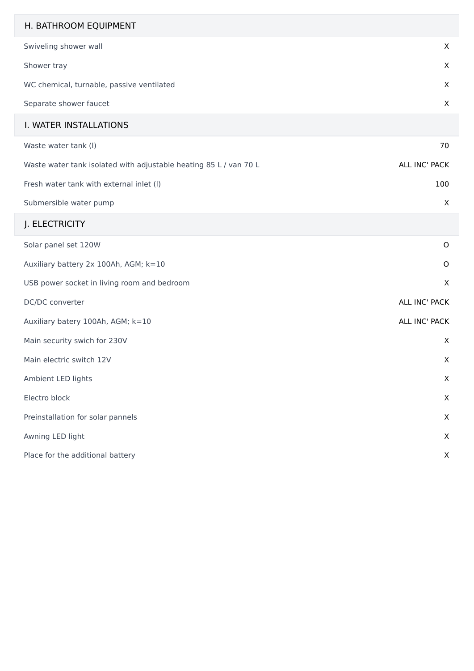| H. BATHROOM EQUIPMENT                                             |               |
|-------------------------------------------------------------------|---------------|
| Swiveling shower wall                                             | X             |
| Shower tray                                                       | X             |
| WC chemical, turnable, passive ventilated                         | X             |
| Separate shower faucet                                            | X             |
| I. WATER INSTALLATIONS                                            |               |
| Waste water tank (I)                                              | 70            |
| Waste water tank isolated with adjustable heating 85 L / van 70 L | ALL INC' PACK |
| Fresh water tank with external inlet (I)                          | 100           |
| Submersible water pump                                            | X             |
| J. ELECTRICITY                                                    |               |
| Solar panel set 120W                                              | O             |
| Auxiliary battery 2x 100Ah, AGM; k=10                             | O             |
| USB power socket in living room and bedroom                       | X             |
| DC/DC converter                                                   | ALL INC' PACK |
| Auxiliary batery 100Ah, AGM; k=10                                 | ALL INC' PACK |
| Main security swich for 230V                                      | X             |
| Main electric switch 12V                                          | X             |
| Ambient LED lights                                                | X             |
| Electro block                                                     | X             |
| Preinstallation for solar pannels                                 | X             |
| Awning LED light                                                  | X             |
| Place for the additional battery                                  | X             |